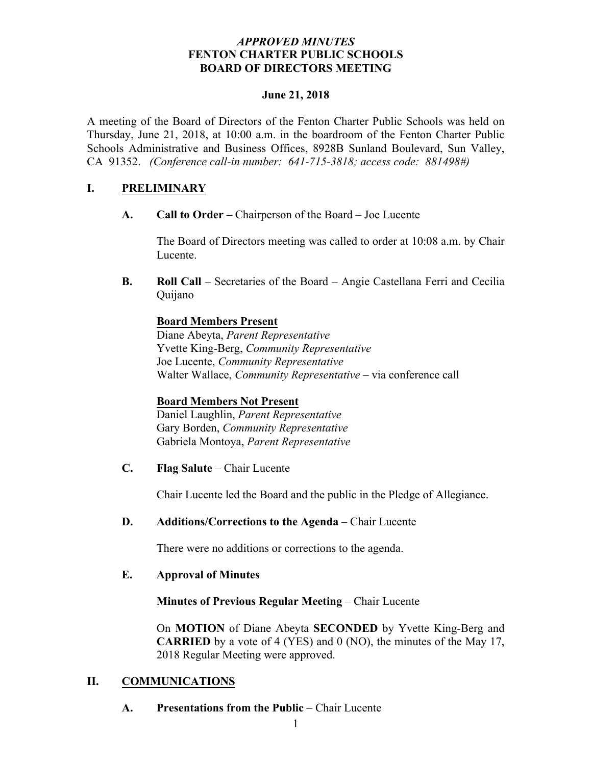## *APPROVED MINUTES* **FENTON CHARTER PUBLIC SCHOOLS BOARD OF DIRECTORS MEETING**

## **June 21, 2018**

A meeting of the Board of Directors of the Fenton Charter Public Schools was held on Thursday, June 21, 2018, at 10:00 a.m. in the boardroom of the Fenton Charter Public Schools Administrative and Business Offices, 8928B Sunland Boulevard, Sun Valley, CA 91352. *(Conference call-in number: 641-715-3818; access code: 881498#)*

# **I. PRELIMINARY**

**A. Call to Order –** Chairperson of the Board – Joe Lucente

The Board of Directors meeting was called to order at 10:08 a.m. by Chair Lucente.

**B. Roll Call** – Secretaries of the Board – Angie Castellana Ferri and Cecilia Quijano

# **Board Members Present**

Diane Abeyta, *Parent Representative* Yvette King-Berg, *Community Representative* Joe Lucente, *Community Representative* Walter Wallace, *Community Representative* – via conference call

# **Board Members Not Present**

Daniel Laughlin, *Parent Representative* Gary Borden, *Community Representative* Gabriela Montoya, *Parent Representative*

**C. Flag Salute** – Chair Lucente

Chair Lucente led the Board and the public in the Pledge of Allegiance.

**D. Additions/Corrections to the Agenda** – Chair Lucente

There were no additions or corrections to the agenda.

# **E. Approval of Minutes**

# **Minutes of Previous Regular Meeting** – Chair Lucente

On **MOTION** of Diane Abeyta **SECONDED** by Yvette King-Berg and **CARRIED** by a vote of 4 (YES) and 0 (NO), the minutes of the May 17, 2018 Regular Meeting were approved.

# **II. COMMUNICATIONS**

**A. Presentations from the Public** – Chair Lucente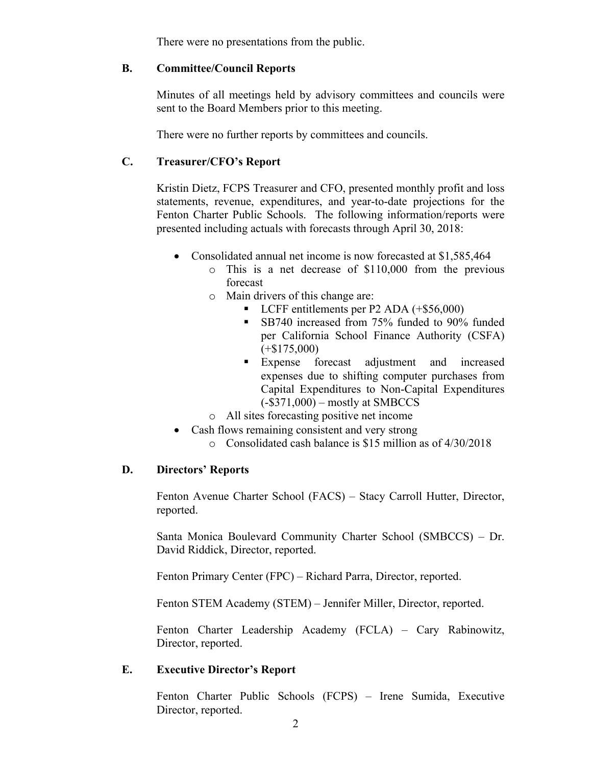There were no presentations from the public.

#### **B. Committee/Council Reports**

Minutes of all meetings held by advisory committees and councils were sent to the Board Members prior to this meeting.

There were no further reports by committees and councils.

# **C. Treasurer/CFO's Report**

Kristin Dietz, FCPS Treasurer and CFO, presented monthly profit and loss statements, revenue, expenditures, and year-to-date projections for the Fenton Charter Public Schools. The following information/reports were presented including actuals with forecasts through April 30, 2018:

- Consolidated annual net income is now forecasted at \$1,585,464
	- o This is a net decrease of \$110,000 from the previous forecast
	- o Main drivers of this change are:
		- LCFF entitlements per P2 ADA (+\$56,000)
		- SB740 increased from 75% funded to 90% funded per California School Finance Authority (CSFA)  $(+\$175,000)$
		- § Expense forecast adjustment and increased expenses due to shifting computer purchases from Capital Expenditures to Non-Capital Expenditures (-\$371,000) – mostly at SMBCCS
	- o All sites forecasting positive net income
- Cash flows remaining consistent and very strong
	- o Consolidated cash balance is \$15 million as of 4/30/2018

## **D. Directors' Reports**

Fenton Avenue Charter School (FACS) – Stacy Carroll Hutter, Director, reported.

Santa Monica Boulevard Community Charter School (SMBCCS) – Dr. David Riddick, Director, reported.

Fenton Primary Center (FPC) – Richard Parra, Director, reported.

Fenton STEM Academy (STEM) – Jennifer Miller, Director, reported.

Fenton Charter Leadership Academy (FCLA) – Cary Rabinowitz, Director, reported.

## **E. Executive Director's Report**

Fenton Charter Public Schools (FCPS) – Irene Sumida, Executive Director, reported.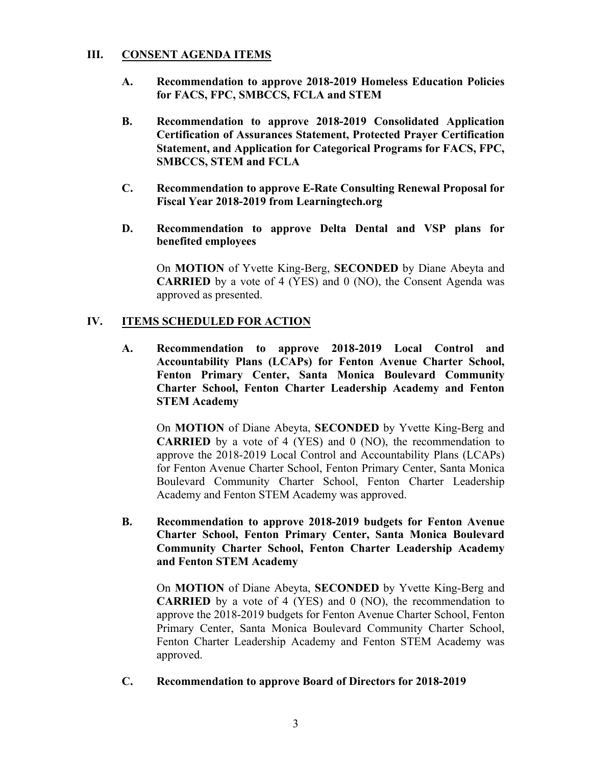## **III. CONSENT AGENDA ITEMS**

- **A. Recommendation to approve 2018-2019 Homeless Education Policies for FACS, FPC, SMBCCS, FCLA and STEM**
- **B. Recommendation to approve 2018-2019 Consolidated Application Certification of Assurances Statement, Protected Prayer Certification Statement, and Application for Categorical Programs for FACS, FPC, SMBCCS, STEM and FCLA**
- **C. Recommendation to approve E-Rate Consulting Renewal Proposal for Fiscal Year 2018-2019 from Learningtech.org**
- **D. Recommendation to approve Delta Dental and VSP plans for benefited employees**

On **MOTION** of Yvette King-Berg, **SECONDED** by Diane Abeyta and **CARRIED** by a vote of 4 (YES) and 0 (NO), the Consent Agenda was approved as presented.

## **IV. ITEMS SCHEDULED FOR ACTION**

**A. Recommendation to approve 2018-2019 Local Control and Accountability Plans (LCAPs) for Fenton Avenue Charter School, Fenton Primary Center, Santa Monica Boulevard Community Charter School, Fenton Charter Leadership Academy and Fenton STEM Academy**

On **MOTION** of Diane Abeyta, **SECONDED** by Yvette King-Berg and **CARRIED** by a vote of 4 (YES) and 0 (NO), the recommendation to approve the 2018-2019 Local Control and Accountability Plans (LCAPs) for Fenton Avenue Charter School, Fenton Primary Center, Santa Monica Boulevard Community Charter School, Fenton Charter Leadership Academy and Fenton STEM Academy was approved.

**B. Recommendation to approve 2018-2019 budgets for Fenton Avenue Charter School, Fenton Primary Center, Santa Monica Boulevard Community Charter School, Fenton Charter Leadership Academy and Fenton STEM Academy**

On **MOTION** of Diane Abeyta, **SECONDED** by Yvette King-Berg and **CARRIED** by a vote of 4 (YES) and 0 (NO), the recommendation to approve the 2018-2019 budgets for Fenton Avenue Charter School, Fenton Primary Center, Santa Monica Boulevard Community Charter School, Fenton Charter Leadership Academy and Fenton STEM Academy was approved.

**C. Recommendation to approve Board of Directors for 2018-2019**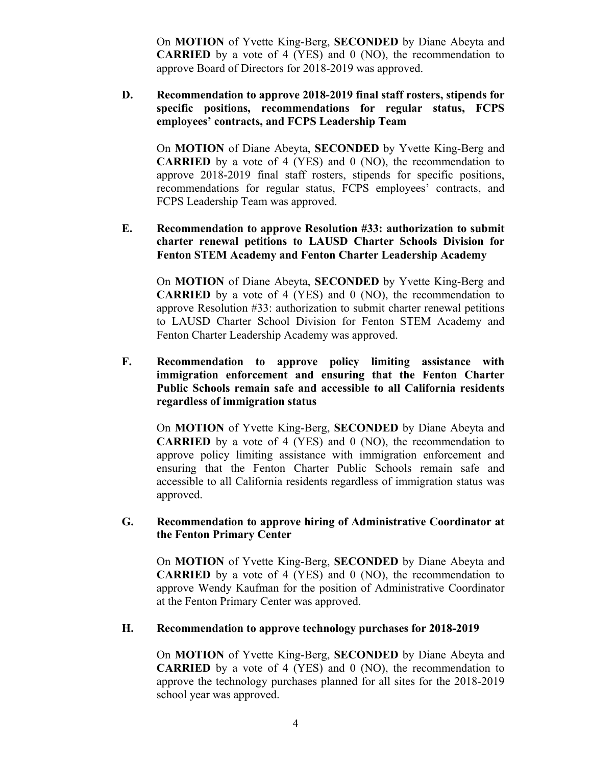On **MOTION** of Yvette King-Berg, **SECONDED** by Diane Abeyta and **CARRIED** by a vote of 4 (YES) and 0 (NO), the recommendation to approve Board of Directors for 2018-2019 was approved.

**D. Recommendation to approve 2018-2019 final staff rosters, stipends for specific positions, recommendations for regular status, FCPS employees' contracts, and FCPS Leadership Team** 

On **MOTION** of Diane Abeyta, **SECONDED** by Yvette King-Berg and **CARRIED** by a vote of 4 (YES) and 0 (NO), the recommendation to approve 2018-2019 final staff rosters, stipends for specific positions, recommendations for regular status, FCPS employees' contracts, and FCPS Leadership Team was approved.

**E. Recommendation to approve Resolution #33: authorization to submit charter renewal petitions to LAUSD Charter Schools Division for Fenton STEM Academy and Fenton Charter Leadership Academy**

On **MOTION** of Diane Abeyta, **SECONDED** by Yvette King-Berg and **CARRIED** by a vote of 4 (YES) and 0 (NO), the recommendation to approve Resolution #33: authorization to submit charter renewal petitions to LAUSD Charter School Division for Fenton STEM Academy and Fenton Charter Leadership Academy was approved.

**F. Recommendation to approve policy limiting assistance with immigration enforcement and ensuring that the Fenton Charter Public Schools remain safe and accessible to all California residents regardless of immigration status**

On **MOTION** of Yvette King-Berg, **SECONDED** by Diane Abeyta and **CARRIED** by a vote of 4 (YES) and 0 (NO), the recommendation to approve policy limiting assistance with immigration enforcement and ensuring that the Fenton Charter Public Schools remain safe and accessible to all California residents regardless of immigration status was approved.

## **G. Recommendation to approve hiring of Administrative Coordinator at the Fenton Primary Center**

On **MOTION** of Yvette King-Berg, **SECONDED** by Diane Abeyta and **CARRIED** by a vote of 4 (YES) and 0 (NO), the recommendation to approve Wendy Kaufman for the position of Administrative Coordinator at the Fenton Primary Center was approved.

## **H. Recommendation to approve technology purchases for 2018-2019**

On **MOTION** of Yvette King-Berg, **SECONDED** by Diane Abeyta and **CARRIED** by a vote of 4 (YES) and 0 (NO), the recommendation to approve the technology purchases planned for all sites for the 2018-2019 school year was approved.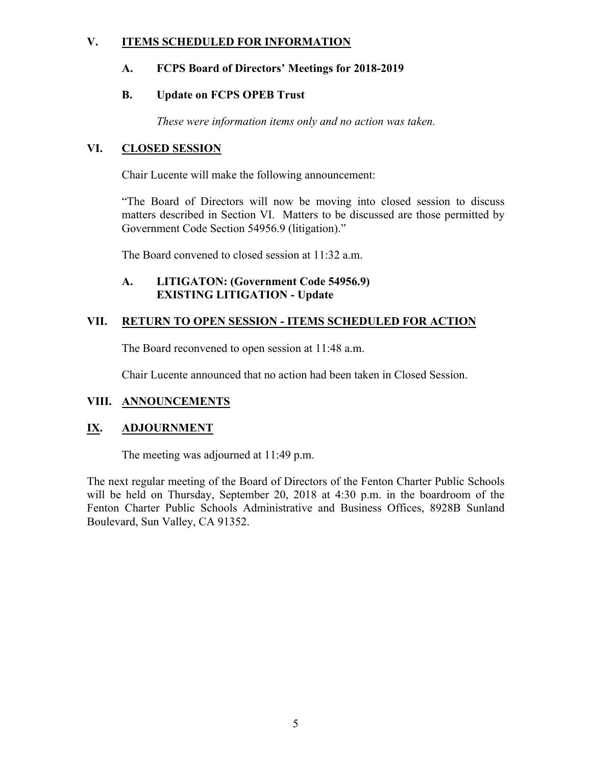# **V. ITEMS SCHEDULED FOR INFORMATION**

# **A. FCPS Board of Directors' Meetings for 2018-2019**

# **B. Update on FCPS OPEB Trust**

*These were information items only and no action was taken.*

# **VI. CLOSED SESSION**

Chair Lucente will make the following announcement:

"The Board of Directors will now be moving into closed session to discuss matters described in Section VI. Matters to be discussed are those permitted by Government Code Section 54956.9 (litigation)."

The Board convened to closed session at 11:32 a.m.

## **A. LITIGATON: (Government Code 54956.9) EXISTING LITIGATION - Update**

# **VII. RETURN TO OPEN SESSION - ITEMS SCHEDULED FOR ACTION**

The Board reconvened to open session at 11:48 a.m.

Chair Lucente announced that no action had been taken in Closed Session.

# **VIII. ANNOUNCEMENTS**

# **IX. ADJOURNMENT**

The meeting was adjourned at 11:49 p.m.

The next regular meeting of the Board of Directors of the Fenton Charter Public Schools will be held on Thursday, September 20, 2018 at 4:30 p.m. in the boardroom of the Fenton Charter Public Schools Administrative and Business Offices, 8928B Sunland Boulevard, Sun Valley, CA 91352.